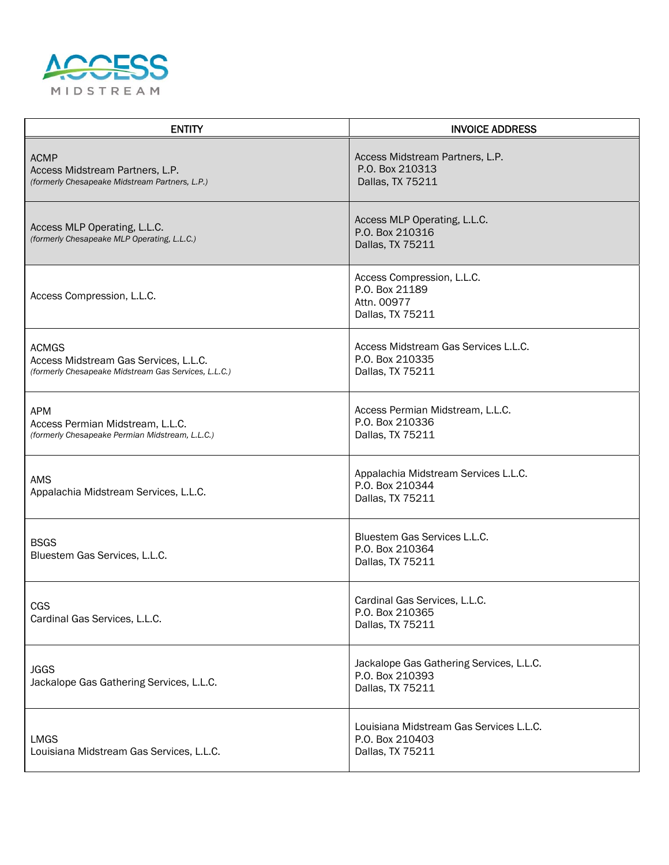

| <b>ENTITY</b>                                                                                                 | <b>INVOICE ADDRESS</b>                                                          |
|---------------------------------------------------------------------------------------------------------------|---------------------------------------------------------------------------------|
| <b>ACMP</b><br>Access Midstream Partners, L.P.<br>(formerly Chesapeake Midstream Partners, L.P.)              | Access Midstream Partners, L.P.<br>P.O. Box 210313<br>Dallas, TX 75211          |
| Access MLP Operating, L.L.C.<br>(formerly Chesapeake MLP Operating, L.L.C.)                                   | Access MLP Operating, L.L.C.<br>P.O. Box 210316<br>Dallas, TX 75211             |
| Access Compression, L.L.C.                                                                                    | Access Compression, L.L.C.<br>P.O. Box 21189<br>Attn. 00977<br>Dallas, TX 75211 |
| <b>ACMGS</b><br>Access Midstream Gas Services, L.L.C.<br>(formerly Chesapeake Midstream Gas Services, L.L.C.) | Access Midstream Gas Services L.L.C.<br>P.O. Box 210335<br>Dallas, TX 75211     |
| <b>APM</b><br>Access Permian Midstream, L.L.C.<br>(formerly Chesapeake Permian Midstream, L.L.C.)             | Access Permian Midstream, L.L.C.<br>P.O. Box 210336<br>Dallas, TX 75211         |
| <b>AMS</b><br>Appalachia Midstream Services, L.L.C.                                                           | Appalachia Midstream Services L.L.C.<br>P.O. Box 210344<br>Dallas, TX 75211     |
| <b>BSGS</b><br>Bluestem Gas Services, L.L.C.                                                                  | Bluestem Gas Services L.L.C.<br>P.O. Box 210364<br>Dallas, TX 75211             |
| CGS<br>Cardinal Gas Services, L.L.C.                                                                          | Cardinal Gas Services, L.L.C.<br>P.O. Box 210365<br>Dallas, TX 75211            |
| <b>JGGS</b><br>Jackalope Gas Gathering Services, L.L.C.                                                       | Jackalope Gas Gathering Services, L.L.C.<br>P.O. Box 210393<br>Dallas, TX 75211 |
| <b>LMGS</b><br>Louisiana Midstream Gas Services, L.L.C.                                                       | Louisiana Midstream Gas Services L.L.C.<br>P.O. Box 210403<br>Dallas, TX 75211  |